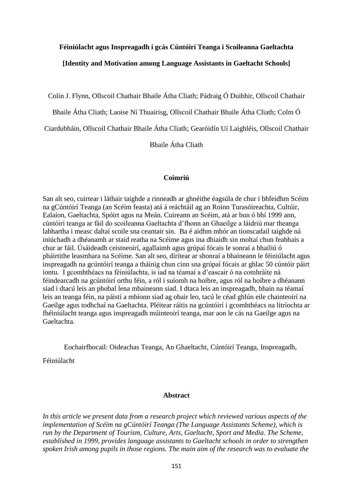# **Féiniúlacht agus Inspreagadh i gcás Cúntóirí Teanga i Scoileanna Gaeltachta**

# **[Identity and Motivation among Language Assistants in Gaeltacht Schools]**

Colin J. Flynn, Ollscoil Chathair Bhaile Átha Cliath; Pádraig Ó Duibhir, Ollscoil Chathair

Bhaile Átha Cliath; Laoise Ní Thuairisg, Ollscoil Chathair Bhaile Átha Cliath; Colm Ó

Ciardubháin, Ollscoil Chathair Bhaile Átha Cliath; Gearóidín Uí Laighléis, Ollscoil Chathair

Bhaile Átha Cliath

# **Coimriú**

San alt seo, cuirtear i láthair taighde a rinneadh ar ghnéithe éagsúla de chur i bhfeidhm Scéim na gCúntóirí Teanga (an Scéim feasta) atá á reáchtáil ag an Roinn Turasóireachta, Cultúir, Ealaíon, Gaeltachta, Spóirt agus na Meán. Cuireann an Scéim, atá ar bun ó bhí 1999 ann, cúntóirí teanga ar fáil do scoileanna Gaeltachta d'fhonn an Ghaeilge a láidriú mar theanga labhartha i measc daltaí scoile sna ceantair sin. Ba é aidhm mhór an tionscadail taighde ná iniúchadh a dhéanamh ar staid reatha na Scéime agus ina dhiaidh sin moltaí chun feabhais a chur ar fáil. Úsáideadh ceistneoirí, agallaimh agus grúpaí fócais le sonraí a bhailiú ó pháirtithe leasmhara na Scéime. San alt seo, dírítear ar shonraí a bhaineann le féiniúlacht agus inspreagadh na gcúntóirí teanga a tháinig chun cinn sna grúpaí fócais ar ghlac 50 cúntóir páirt iontu. I gcomhthéacs na féiniúlachta, is iad na téamaí a d'eascair ó na comhráite ná féindearcadh na gcúntóirí orthu féin, a ról i suíomh na hoibre, agus ról na hoibre a dhéanann siad i dtacú leis an phobal lena mbaineann siad. I dtaca leis an inspreagadh, bhain na téamaí leis an teanga féin, na páistí a mbíonn siad ag obair leo, tacú le céad ghlún eile chainteoirí na Gaeilge agus todhchaí na Gaeltachta. Pléitear ráitis na gcúntóirí i gcomhthéacs na litríochta ar fhéiniúlacht teanga agus inspreagadh múinteoirí teanga, mar aon le cás na Gaeilge agus na Gaeltachta.

Eochairfhocail: Oideachas Teanga, An Ghaeltacht, Cúntóirí Teanga, Inspreagadh,

Féiniúlacht

# **Abstract**

*In this article we present data from a research project which reviewed various aspects of the implementation of Scéim na gCúntóirí Teanga (The Language Assistants Scheme), which is run by the Department of Tourism, Culture, Arts, Gaeltacht, Sport and Media. The Scheme, established in 1999, provides language assistants to Gaeltacht schools in order to strengthen spoken Irish among pupils in those regions. The main aim of the research was to evaluate the*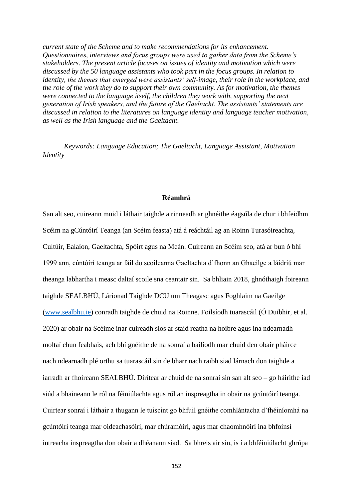*current state of the Scheme and to make recommendations for its enhancement. Questionnaires, interviews and focus groups were used to gather data from the Scheme's stakeholders. The present article focuses on issues of identity and motivation which were discussed by the 50 language assistants who took part in the focus groups. In relation to identity, the themes that emerged were assistants' self-image, their role in the workplace, and the role of the work they do to support their own community. As for motivation, the themes were connected to the language itself, the children they work with, supporting the next generation of Irish speakers, and the future of the Gaeltacht. The assistants' statements are discussed in relation to the literatures on language identity and language teacher motivation, as well as the Irish language and the Gaeltacht.* 

*Keywords: Language Education; The Gaeltacht, Language Assistant, Motivation Identity*

### **Réamhrá**

San alt seo, cuireann muid i láthair taighde a rinneadh ar ghnéithe éagsúla de chur i bhfeidhm Scéim na gCúntóirí Teanga (an Scéim feasta) atá á reáchtáil ag an Roinn Turasóireachta, Cultúir, Ealaíon, Gaeltachta, Spóirt agus na Meán. Cuireann an Scéim seo, atá ar bun ó bhí 1999 ann, cúntóirí teanga ar fáil do scoileanna Gaeltachta d'fhonn an Ghaeilge a láidriú mar theanga labhartha i measc daltaí scoile sna ceantair sin. Sa bhliain 2018, ghnóthaigh foireann taighde SEALBHÚ, Lárionad Taighde DCU um Theagasc agus Foghlaim na Gaeilge [\(www.sealbhu.ie\)](http://www.sealbhu.ie/) conradh taighde de chuid na Roinne. Foilsíodh tuarascáil (Ó Duibhir, et al. 2020) ar obair na Scéime inar cuireadh síos ar staid reatha na hoibre agus ina ndearnadh moltaí chun feabhais, ach bhí gnéithe de na sonraí a bailíodh mar chuid den obair pháirce nach ndearnadh plé orthu sa tuarascáil sin de bharr nach raibh siad lárnach don taighde a iarradh ar fhoireann SEALBHÚ. Dírítear ar chuid de na sonraí sin san alt seo – go háirithe iad siúd a bhaineann le ról na féiniúlachta agus ról an inspreagtha in obair na gcúntóirí teanga. Cuirtear sonraí i láthair a thugann le tuiscint go bhfuil gnéithe comhlántacha d'fhéiníomhá na gcúntóirí teanga mar oideachasóirí, mar chúramóirí, agus mar chaomhnóirí ina bhfoinsí intreacha inspreagtha don obair a dhéanann siad. Sa bhreis air sin, is í a bhféiniúlacht ghrúpa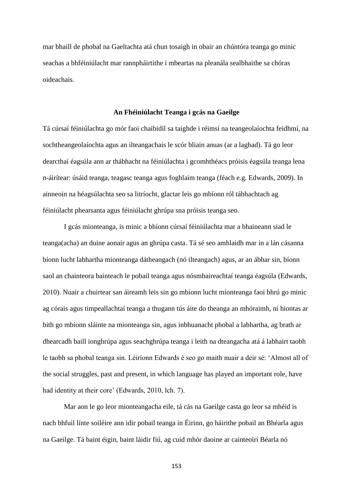mar bhaill de phobal na Gaeltachta atá chun tosaigh in obair an chúntóra teanga go minic seachas a bhféiniúlacht mar rannpháirtithe i mbeartas na pleanála sealbhaithe sa chóras oideachais.

#### **An Fhéiniúlacht Teanga i gcás na Gaeilge**

Tá cúrsaí féiniúlachta go mór faoi chaibidil sa taighde i réimsí na teangeolaíochta feidhmí, na sochtheangeolaíochta agus an ilteangachais le scór bliain anuas (ar a laghad). Tá go leor dearcthaí éagsúla ann ar thábhacht na féiniúlachta i gcomhthéacs próisis éagsúla teanga lena n-áirítear: úsáid teanga, teagasc teanga agus foghlaim teanga (féach e.g. Edwards, 2009). In ainneoin na héagsúlachta seo sa litríocht, glactar leis go mbíonn ról tábhachtach ag féiniúlacht phearsanta agus féiniúlacht ghrúpa sna próisis teanga seo.

I gcás mionteanga, is minic a bhíonn cúrsaí féiniúlachta mar a bhaineann siad le teanga(acha) an duine aonair agus an ghrúpa casta. Tá sé seo amhlaidh mar in a lán cásanna bíonn lucht labhartha mionteanga dátheangach (nó ilteangach) agus, ar an ábhar sin, bíonn saol an chainteora bainteach le pobail teanga agus nósmhaireachtaí teanga éagsúla (Edwards, 2010). Nuair a chuirtear san áireamh leis sin go mbíonn lucht mionteanga faoi bhrú go minic ag córais agus timpeallachtaí teanga a thugann tús áite do theanga an mhóraimh, ní hiontas ar bith go mbíonn sláinte na mionteanga sin, agus inbhuanacht phobal a labhartha, ag brath ar dhearcadh baill ionghrúpa agus seachghrúpa teanga i leith na dteangacha atá á labhairt taobh le taobh sa phobal teanga sin. Léiríonn Edwards é seo go maith nuair a deir sé: 'Almost all of the social struggles, past and present, in which language has played an important role, have had identity at their core' (Edwards, 2010, lch. 7).

Mar aon le go leor mionteangacha eile, tá cás na Gaeilge casta go leor sa mhéid is nach bhfuil línte soiléire ann idir pobail teanga in Éirinn, go háirithe pobail an Bhéarla agus na Gaeilge. Tá baint éigin, baint láidir fiú, ag cuid mhór daoine ar cainteoirí Béarla nó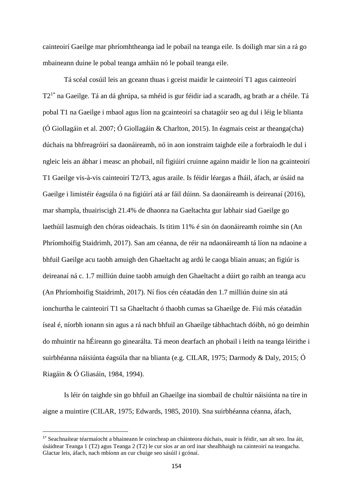cainteoirí Gaeilge mar phríomhtheanga iad le pobail na teanga eile. Is doiligh mar sin a rá go mbaineann duine le pobal teanga amháin nó le pobail teanga eile.

Tá scéal cosúil leis an gceann thuas i gceist maidir le cainteoirí T1 agus cainteoirí T2<sup>1\*</sup> na Gaeilge. Tá an dá ghrúpa, sa mhéid is gur féidir iad a scaradh, ag brath ar a chéile. Tá pobal T1 na Gaeilge i mbaol agus líon na gcainteoirí sa chatagóir seo ag dul i léig le blianta (Ó Giollagáin et al. 2007; Ó Giollagáin & Charlton, 2015). In éagmais ceist ar theanga(cha) dúchais na bhfreagróirí sa daonáireamh, nó in aon ionstraim taighde eile a forbraíodh le dul i ngleic leis an ábhar i measc an phobail, níl figiúirí cruinne againn maidir le líon na gcainteoirí T1 Gaeilge vis-à-vis cainteoirí T2/T3, agus araile. Is féidir léargas a fháil, áfach, ar úsáid na Gaeilge i limistéir éagsúla ó na figiúirí atá ar fáil dúinn. Sa daonáireamh is deireanaí (2016), mar shampla, thuairiscigh 21.4% de dhaonra na Gaeltachta gur labhair siad Gaeilge go laethúil lasmuigh den chóras oideachais. Is titim 11% é sin ón daonáireamh roimhe sin (An Phríomhoifig Staidrimh, 2017). San am céanna, de réir na ndaonáireamh tá líon na ndaoine a bhfuil Gaeilge acu taobh amuigh den Ghaeltacht ag ardú le caoga bliain anuas; an figiúr is deireanaí ná c. 1.7 milliún duine taobh amuigh den Ghaeltacht a dúirt go raibh an teanga acu (An Phríomhoifig Staidrimh, 2017). Ní fios cén céatadán den 1.7 milliún duine sin atá ionchurtha le cainteoirí T1 sa Ghaeltacht ó thaobh cumas sa Ghaeilge de. Fiú más céatadán íseal é, níorbh ionann sin agus a rá nach bhfuil an Ghaeilge tábhachtach dóibh, nó go deimhin do mhuintir na hÉireann go ginearálta. Tá meon dearfach an phobail i leith na teanga léirithe i suirbhéanna náisiúnta éagsúla thar na blianta (e.g. CILAR, 1975; Darmody & Daly, 2015; Ó Riagáin & Ó Gliasáin, 1984, 1994).

Is léir ón taighde sin go bhfuil an Ghaeilge ina siombail de chultúr náisiúnta na tíre in aigne a muintire (CILAR, 1975; Edwards, 1985, 2010). Sna suirbhéanna céanna, áfach,

 $\overline{a}$ 

<sup>1</sup>\* Seachnaítear téarmaíocht a bhaineann le coincheap an cháinteora dúchais, nuair is féidir, san alt seo. Ina áit, úsáidtear Teanga 1 (T2) agus Teanga 2 (T2) le cur síos ar an ord inar shealbhaigh na cainteoirí na teangacha. Glactar leis, áfach, nach mbíonn an cur chuige seo sásúil i gcónaí.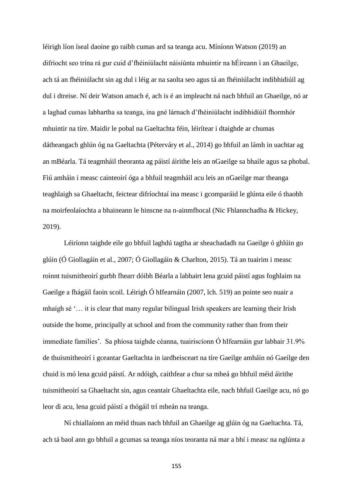léirigh líon íseal daoine go raibh cumas ard sa teanga acu. Míníonn Watson (2019) an difríocht seo trína rá gur cuid d'fhéiniúlacht náisiúnta mhuintir na hÉireann í an Ghaeilge, ach tá an fhéiniúlacht sin ag dul i léig ar na saolta seo agus tá an fhéiniúlacht indibhidiúil ag dul i dtreise. Ní deir Watson amach é, ach is é an impleacht ná nach bhfuil an Ghaeilge, nó ar a laghad cumas labhartha sa teanga, ina gné lárnach d'fhéiniúlacht indibhidiúil fhormhór mhuintir na tíre. Maidir le pobal na Gaeltachta féin, léirítear i dtaighde ar chumas dátheangach ghlún óg na Gaeltachta (Péterváry et al., 2014) go bhfuil an lámh in uachtar ag an mBéarla. Tá teagmháil theoranta ag páistí áirithe leis an nGaeilge sa bhaile agus sa phobal. Fiú amháin i measc cainteoirí óga a bhfuil teagmháil acu leis an nGaeilge mar theanga teaghlaigh sa Ghaeltacht, feictear difríochtaí ina measc i gcomparáid le glúnta eile ó thaobh na moirfeolaíochta a bhaineann le hinscne na n-ainmfhocal (Nic Fhlannchadha & Hickey, 2019).

Léiríonn taighde eile go bhfuil laghdú tagtha ar sheachadadh na Gaeilge ó ghlúin go glúin (Ó Giollagáin et al., 2007; Ó Giollagáin & Charlton, 2015). Tá an tuairim i measc roinnt tuismitheoirí gurbh fhearr dóibh Béarla a labhairt lena gcuid páistí agus foghlaim na Gaeilge a fhágáil faoin scoil. Léirigh Ó hIfearnáin (2007, lch. 519) an pointe seo nuair a mhaígh sé '… it is clear that many regular bilingual Irish speakers are learning their Irish outside the home, principally at school and from the community rather than from their immediate families'. Sa phíosa taighde céanna, tuairiscíonn Ó hIfearnáin gur labhair 31.9% de thuismitheoirí i gceantar Gaeltachta in iardheisceart na tíre Gaeilge amháin nó Gaeilge den chuid is mó lena gcuid páistí. Ar ndóigh, caithfear a chur sa mheá go bhfuil méid áirithe tuismitheoirí sa Ghaeltacht sin, agus ceantair Ghaeltachta eile, nach bhfuil Gaeilge acu, nó go leor di acu, lena gcuid páistí a thógáil trí mheán na teanga.

Ní chiallaíonn an méid thuas nach bhfuil an Ghaeilge ag glúin óg na Gaeltachta. Tá, ach tá baol ann go bhfuil a gcumas sa teanga níos teoranta ná mar a bhí i measc na nglúnta a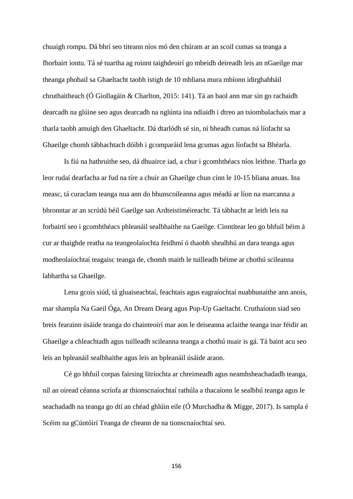chuaigh rompu. Dá bhrí seo titeann níos mó den chúram ar an scoil cumas sa teanga a fhorbairt iontu. Tá sé tuartha ag roinnt taighdeoirí go mbeidh deireadh leis an nGaeilge mar theanga phobail sa Ghaeltacht taobh istigh de 10 mbliana mura mbíonn idirghabháil chruthaitheach (Ó Giollagáin & Charlton, 2015: 141). Tá an baol ann mar sin go rachaidh dearcadh na glúine seo agus dearcadh na nglúnta ina ndiaidh i dtreo an tsiombalachais mar a tharla taobh amuigh den Ghaeltacht. Dá dtarlódh sé sin, ní bheadh cumas ná líofacht sa Ghaeilge chomh tábhachtach dóibh i gcomparáid lena gcumas agus líofacht sa Bhéarla.

Is fiú na hathruithe seo, dá dhuairce iad, a chur i gcomhthéacs níos leithne. Tharla go leor rudaí dearfacha ar fud na tíre a chuir an Ghaeilge chun cinn le 10-15 bliana anuas. Ina measc, tá curaclam teanga nua ann do bhunscoileanna agus méadú ar líon na marcanna a bhronntar ar an scrúdú béil Gaeilge san Ardteistiméireacht. Tá tábhacht ar leith leis na forbairtí seo i gcomhthéacs phleanáil sealbhaithe na Gaeilge. Cinntítear leo go bhfuil béim á cur ar thaighde reatha na teangeolaíochta feidhmí ó thaobh shealbhú an dara teanga agus modheolaíochtaí teagaisc teanga de, chomh maith le tuilleadh béime ar chothú scileanna labhartha sa Ghaeilge.

Lena gcois siúd, tá gluaiseachtaí, feachtais agus eagraíochtaí nuabhunaithe ann anois, mar shampla Na Gaeil Óga, An Dream Dearg agus Pop-Up Gaeltacht. Cruthaíonn siad seo breis fearainn úsáide teanga do chainteoirí mar aon le deiseanna aclaithe teanga inar féidir an Ghaeilge a chleachtadh agus tuilleadh scileanna teanga a chothú nuair is gá. Tá baint acu seo leis an bpleanáil sealbhaithe agus leis an bpleanáil úsáide araon.

Cé go bhfuil corpas fairsing litríochta ar chreimeadh agus neamhsheachadadh teanga, níl an oiread céanna scríofa ar thionscnaíochtaí rathúla a thacaíonn le sealbhú teanga agus le seachadadh na teanga go dtí an chéad ghlúin eile (Ó Murchadha & Migge, 2017). Is sampla é Scéim na gCúntóirí Teanga de cheann de na tionscnaíochtaí seo.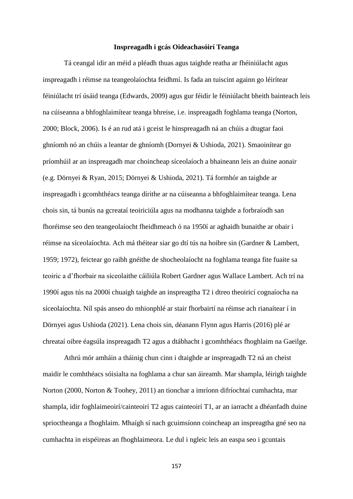#### **Inspreagadh i gcás Oideachasóirí Teanga**

Tá ceangal idir an méid a pléadh thuas agus taighde reatha ar fhéiniúlacht agus inspreagadh i réimse na teangeolaíochta feidhmí. Is fada an tuiscint againn go léirítear féiniúlacht trí úsáid teanga (Edwards, 2009) agus gur féidir le féiniúlacht bheith bainteach leis na cúiseanna a bhfoghlaimítear teanga bhreise, i.e. inspreagadh foghlama teanga (Norton, 2000; Block, 2006). Is é an rud atá i gceist le hinspreagadh ná an chúis a dtugtar faoi ghníomh nó an chúis a leantar de ghníomh (Dornyei & Ushioda, 2021). Smaoinítear go príomhúil ar an inspreagadh mar choincheap síceolaíoch a bhaineann leis an duine aonair (e.g. Dörnyei & Ryan, 2015; Dörnyei & Ushioda, 2021). Tá formhór an taighde ar inspreagadh i gcomhthéacs teanga dírithe ar na cúiseanna a bhfoghlaimítear teanga. Lena chois sin, tá bunús na gcreataí teoiriciúla agus na modhanna taighde a forbraíodh san fhoréimse seo den teangeolaíocht fheidhmeach ó na 1950í ar aghaidh bunaithe ar obair i réimse na síceolaíochta. Ach má théitear siar go dtí tús na hoibre sin (Gardner & Lambert, 1959; 1972), feictear go raibh gnéithe de shocheolaíocht na foghlama teanga fite fuaite sa teoiric a d'fhorbair na síceolaithe cáiliúla Robert Gardner agus Wallace Lambert. Ach trí na 1990í agus tús na 2000í chuaigh taighde an inspreagtha T2 i dtreo theoiricí cognaíocha na síceolaíochta. Níl spás anseo do mhionphlé ar stair fhorbairtí na réimse ach rianaítear í in Dörnyei agus Ushioda (2021). Lena chois sin, déanann Flynn agus Harris (2016) plé ar chreataí oibre éagsúla inspreagadh T2 agus a dtábhacht i gcomhthéacs fhoghlaim na Gaeilge.

Athrú mór amháin a tháinig chun cinn i dtaighde ar inspreagadh T2 ná an cheist maidir le comhthéacs sóisialta na foghlama a chur san áireamh. Mar shampla, léirigh taighde Norton (2000, Norton & Toohey, 2011) an tionchar a imríonn difríochtaí cumhachta, mar shampla, idir foghlaimeoirí/cainteoirí T2 agus cainteoirí T1, ar an iarracht a dhéanfadh duine sprioctheanga a fhoghlaim. Mhaígh sí nach gcuimsíonn coincheap an inspreagtha gné seo na cumhachta in eispéireas an fhoghlaimeora. Le dul i ngleic leis an easpa seo i gcuntais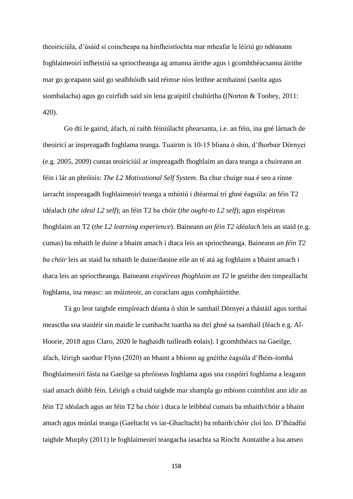theoiriciúla, d'úsáid sí coincheapa na hinfheistíochta mar mheafar le léiriú go ndéanann foghlaimeoirí infheistiú sa sprioctheanga ag amanna áirithe agus i gcomhthéacsanna áirithe mar go gceapann said go sealbhóidh said réimse níos leithne acmhainní (saolta agus siombalacha) agus go cuirfidh said sin lena gcaipitil chultúrtha ((Norton & Toohey, 2011: 420).

Go dtí le gairid, áfach, ní raibh féiniúlacht phearsanta, i.e. an féin, ina gné lárnach de theoiricí ar inspreagadh foghlama teanga. Tuairim is 10-15 bliana ó shin, d'fhorbair Dörnyei (e.g. 2005, 2009) cuntas teoiriciúil ar inspreagadh fhoghlaim an dara teanga a chuireann an féin i lár an phróisis: *The L2 Motivational Self System*. Ba chur chuige nua é seo a rinne iarracht inspreagadh foghlaimeoirí teanga a mhíniú i dtéarmaí trí ghné éagsúla: an féin T2 idéalach (*the ideal L2 self*); an féin T2 ba chóir (*the ought-to L2 self*); agus eispéireas fhoghlaim an T2 (*the L2 learning experience*). Baineann *an féin T2 idéalach* leis an staid (e.g. cumas) ba mhaith le duine a bhaint amach i dtaca leis an sprioctheanga. Baineann *an féin T2 ba chóir* leis an staid ba mhaith le duine/daoine eile an té atá ag foghlaim a bhaint amach i dtaca leis an sprioctheanga. Baineann *eispéireas fhoghlaim an T2* le gnéithe den timpeallacht foghlama, ina measc: an múinteoir, an curaclam agus comhpháirtithe.

Tá go leor taighde eimpíreach déanta ó shin le samhail Dörnyei a thástáil agus torthaí measctha sna staidéir sin maidir le cumhacht tuartha na dtrí ghné sa tsamhail (féach e.g. Al-Hoorie, 2018 agus Claro, 2020 le haghaidh tuilleadh eolais). I gcomhthéacs na Gaeilge, áfach, léirigh saothar Flynn (2020) an bhaint a bhíonn ag gnéithe éagsúla d'fhéin-íomhá fhoghlaimeoirí fásta na Gaeilge sa phróiseas foghlama agus sna cuspóirí foghlama a leagann siad amach dóibh féin. Léirigh a chuid taighde mar shampla go mbíonn coimhlint ann idir an féin T2 idéalach agus an féin T2 ba chóir i dtaca le leibhéal cumais ba mhaith/chóir a bhaint amach agus múnlaí teanga (Gaeltacht vs iar-Ghaeltacht) ba mhaith/chóir cloí leo. D'fhéadfaí taighde Murphy (2011) le foghlaimeoirí teangacha iasachta sa Ríocht Aontaithe a lua anseo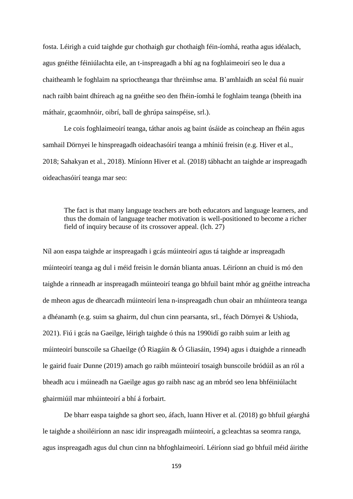fosta. Léirigh a cuid taighde gur chothaigh gur chothaigh féin-íomhá, reatha agus idéalach, agus gnéithe féiniúlachta eile, an t-inspreagadh a bhí ag na foghlaimeoirí seo le dua a chaitheamh le foghlaim na sprioctheanga thar thréimhse ama. B'amhlaidh an scéal fiú nuair nach raibh baint dhíreach ag na gnéithe seo den fhéin-íomhá le foghlaim teanga (bheith ina máthair, gcaomhnóir, oibrí, ball de ghrúpa sainspéise, srl.).

Le cois foghlaimeoirí teanga, táthar anois ag baint úsáide as coincheap an fhéin agus samhail Dörnyei le hinspreagadh oideachasóirí teanga a mhíniú freisin (e.g. Hiver et al., 2018; Sahakyan et al., 2018). Míníonn Hiver et al. (2018) tábhacht an taighde ar inspreagadh oideachasóirí teanga mar seo:

The fact is that many language teachers are both educators and language learners, and thus the domain of language teacher motivation is well-positioned to become a richer field of inquiry because of its crossover appeal. (lch. 27)

Níl aon easpa taighde ar inspreagadh i gcás múinteoirí agus tá taighde ar inspreagadh múinteoirí teanga ag dul i méid freisin le dornán blianta anuas. Léiríonn an chuid is mó den taighde a rinneadh ar inspreagadh múinteoirí teanga go bhfuil baint mhór ag gnéithe intreacha de mheon agus de dhearcadh múinteoirí lena n-inspreagadh chun obair an mhúinteora teanga a dhéanamh (e.g. suim sa ghairm, dul chun cinn pearsanta, srl., féach Dörnyei & Ushioda, 2021). Fiú i gcás na Gaeilge, léirigh taighde ó thús na 1990idí go raibh suim ar leith ag múinteoirí bunscoile sa Ghaeilge (Ó Riagáin & Ó Gliasáin, 1994) agus i dtaighde a rinneadh le gairid fuair Dunne (2019) amach go raibh múinteoirí tosaigh bunscoile bródúil as an ról a bheadh acu i múineadh na Gaeilge agus go raibh nasc ag an mbród seo lena bhféiniúlacht ghairmiúil mar mhúinteoirí a bhí á forbairt.

De bharr easpa taighde sa ghort seo, áfach, luann Hiver et al. (2018) go bhfuil géarghá le taighde a shoiléiríonn an nasc idir inspreagadh múinteoirí, a gcleachtas sa seomra ranga, agus inspreagadh agus dul chun cinn na bhfoghlaimeoirí. Léiríonn siad go bhfuil méid áirithe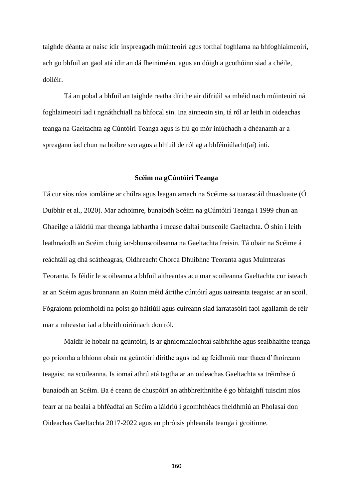taighde déanta ar naisc idir inspreagadh múinteoirí agus torthaí foghlama na bhfoghlaimeoirí, ach go bhfuil an gaol atá idir an dá fheiniméan, agus an dóigh a gcothóinn siad a chéile, doiléir.

Tá an pobal a bhfuil an taighde reatha dírithe air difriúil sa mhéid nach múinteoirí ná foghlaimeoirí iad i ngnáthchiall na bhfocal sin. Ina ainneoin sin, tá ról ar leith in oideachas teanga na Gaeltachta ag Cúntóirí Teanga agus is fiú go mór iniúchadh a dhéanamh ar a spreagann iad chun na hoibre seo agus a bhfuil de ról ag a bhféiniúlacht(aí) inti.

#### **Scéim na gCúntóirí Teanga**

Tá cur síos níos iomláine ar chúlra agus leagan amach na Scéime sa tuarascáil thuasluaite (Ó Duibhir et al., 2020). Mar achoimre, bunaíodh Scéim na gCúntóirí Teanga i 1999 chun an Ghaeilge a láidriú mar theanga labhartha i measc daltaí bunscoile Gaeltachta. Ó shin i leith leathnaíodh an Scéim chuig iar-bhunscoileanna na Gaeltachta freisin. Tá obair na Scéime á reáchtáil ag dhá scátheagras, Oidhreacht Chorca Dhuibhne Teoranta agus Muintearas Teoranta. Is féidir le scoileanna a bhfuil aitheantas acu mar scoileanna Gaeltachta cur isteach ar an Scéim agus bronnann an Roinn méid áirithe cúntóirí agus uaireanta teagaisc ar an scoil. Fógraíonn príomhoidí na poist go háitiúil agus cuireann siad iarratasóirí faoi agallamh de réir mar a mheastar iad a bheith oiriúnach don ról.

Maidir le hobair na gcúntóirí, is ar ghníomhaíochtaí saibhrithe agus sealbhaithe teanga go príomha a bhíonn obair na gcúntóirí dírithe agus iad ag feidhmiú mar thaca d'fhoireann teagaisc na scoileanna. Is iomaí athrú atá tagtha ar an oideachas Gaeltachta sa tréimhse ó bunaíodh an Scéim. Ba é ceann de chuspóirí an athbhreithnithe é go bhfaighfí tuiscint níos fearr ar na bealaí a bhféadfaí an Scéim a láidriú i gcomhthéacs fheidhmiú an Pholasaí don Oideachas Gaeltachta 2017-2022 agus an phróisis phleanála teanga i gcoitinne.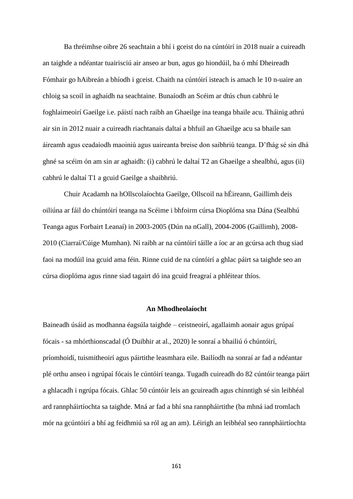Ba thréimhse oibre 26 seachtain a bhí i gceist do na cúntóirí in 2018 nuair a cuireadh an taighde a ndéantar tuairisciú air anseo ar bun, agus go hiondúil, ba ó mhí Dheireadh Fómhair go hAibreán a bhíodh i gceist. Chaith na cúntóirí isteach is amach le 10 n-uaire an chloig sa scoil in aghaidh na seachtaine. Bunaíodh an Scéim ar dtús chun cabhrú le foghlaimeoirí Gaeilge i.e. páistí nach raibh an Ghaeilge ina teanga bhaile acu. Tháinig athrú air sin in 2012 nuair a cuireadh riachtanais daltaí a bhfuil an Ghaeilge acu sa bhaile san áireamh agus ceadaíodh maoiniú agus uaireanta breise don saibhriú teanga. D'fhág sé sin dhá ghné sa scéim ón am sin ar aghaidh: (i) cabhrú le daltaí T2 an Ghaeilge a shealbhú, agus (ii) cabhrú le daltaí T1 a gcuid Gaeilge a shaibhriú.

Chuir Acadamh na hOllscolaíochta Gaeilge, Ollscoil na hÉireann, Gaillimh deis oiliúna ar fáil do chúntóirí teanga na Scéime i bhfoirm cúrsa Dioplóma sna Dána (Sealbhú Teanga agus Forbairt Leanaí) in 2003-2005 (Dún na nGall), 2004-2006 (Gaillimh), 2008- 2010 (Ciarraí/Cúige Mumhan). Ní raibh ar na cúntóirí táille a íoc ar an gcúrsa ach thug siad faoi na modúil ina gcuid ama féin. Rinne cuid de na cúntóirí a ghlac páirt sa taighde seo an cúrsa dioplóma agus rinne siad tagairt dó ina gcuid freagraí a phléitear thíos.

# **An Mhodheolaíocht**

Baineadh úsáid as modhanna éagsúla taighde – ceistneoirí, agallaimh aonair agus grúpaí fócais - sa mhórthionscadal (Ó Duibhir at al., 2020) le sonraí a bhailiú ó chúntóirí, príomhoidí, tuismitheoirí agus páirtithe leasmhara eile. Bailíodh na sonraí ar fad a ndéantar plé orthu anseo i ngrúpaí fócais le cúntóirí teanga. Tugadh cuireadh do 82 cúntóir teanga páirt a ghlacadh i ngrúpa fócais. Ghlac 50 cúntóir leis an gcuireadh agus chinntigh sé sin leibhéal ard rannpháirtíochta sa taighde. Mná ar fad a bhí sna rannpháirtithe (ba mhná iad tromlach mór na gcúntóirí a bhí ag feidhmiú sa ról ag an am). Léirigh an leibhéal seo rannpháirtíochta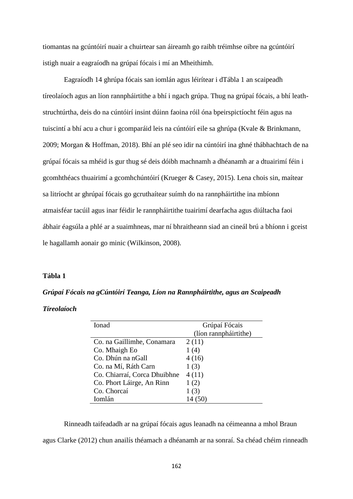tiomantas na gcúntóirí nuair a chuirtear san áireamh go raibh tréimhse oibre na gcúntóirí istigh nuair a eagraíodh na grúpaí fócais i mí an Mheithimh.

Eagraíodh 14 ghrúpa fócais san iomlán agus léirítear i dTábla 1 an scaipeadh tíreolaíoch agus an líon rannpháirtithe a bhí i ngach grúpa. Thug na grúpaí fócais, a bhí leathstruchtúrtha, deis do na cúntóirí insint dúinn faoina róil óna bpeirspictíocht féin agus na tuiscintí a bhí acu a chur i gcomparáid leis na cúntóirí eile sa ghrúpa (Kvale & Brinkmann, 2009; Morgan & Hoffman, 2018). Bhí an plé seo idir na cúntóirí ina ghné thábhachtach de na grúpaí fócais sa mhéid is gur thug sé deis dóibh machnamh a dhéanamh ar a dtuairimí féin i gcomhthéacs thuairimí a gcomhchúntóirí (Krueger & Casey, 2015). Lena chois sin, maítear sa litríocht ar ghrúpaí fócais go gcruthaítear suímh do na rannpháirtithe ina mbíonn atmaisféar tacúil agus inar féidir le rannpháirtithe tuairimí dearfacha agus diúltacha faoi ábhair éagsúla a phlé ar a suaimhneas, mar ní bhraitheann siad an cineál brú a bhíonn i gceist le hagallamh aonair go minic (Wilkinson, 2008).

# **Tábla 1**

*Grúpaí Fócais na gCúntóirí Teanga, Líon na Rannpháirtithe, agus an Scaipeadh* 

*Tíreolaíoch*

| Ionad                        | Grúpaí Fócais         |
|------------------------------|-----------------------|
|                              | (líon rannpháirtithe) |
| Co. na Gaillimhe, Conamara   | 2(11)                 |
| Co. Mhaigh Eo                | 1(4)                  |
| Co. Dhún na nGall            | 4(16)                 |
| Co. na Mí, Ráth Carn         | 1(3)                  |
| Co. Chiarraí, Corca Dhuibhne | 4(11)                 |
| Co. Phort Láirge, An Rinn    | 1(2)                  |
| Co. Chorcaí                  | 1(3)                  |
| Iomlán                       | 14 (50)               |

Rinneadh taifeadadh ar na grúpaí fócais agus leanadh na céimeanna a mhol Braun agus Clarke (2012) chun anailís théamach a dhéanamh ar na sonraí. Sa chéad chéim rinneadh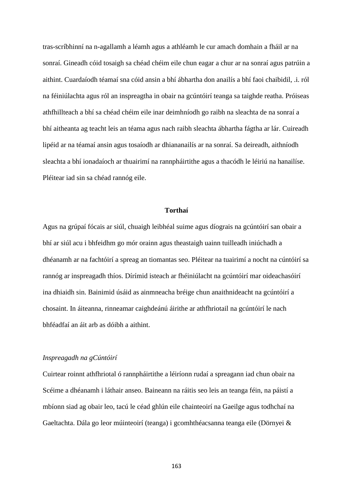tras-scríbhinní na n-agallamh a léamh agus a athléamh le cur amach domhain a fháil ar na sonraí. Gineadh cóid tosaigh sa chéad chéim eile chun eagar a chur ar na sonraí agus patrúin a aithint. Cuardaíodh téamaí sna cóid ansin a bhí ábhartha don anailís a bhí faoi chaibidil, .i. ról na féiniúlachta agus ról an inspreagtha in obair na gcúntóirí teanga sa taighde reatha. Próiseas athfhillteach a bhí sa chéad chéim eile inar deimhníodh go raibh na sleachta de na sonraí a bhí aitheanta ag teacht leis an téama agus nach raibh sleachta ábhartha fágtha ar lár. Cuireadh lipéid ar na téamaí ansin agus tosaíodh ar dhiananailís ar na sonraí. Sa deireadh, aithníodh sleachta a bhí ionadaíoch ar thuairimí na rannpháirtithe agus a thacódh le léiriú na hanailíse. Pléitear iad sin sa chéad rannóg eile.

### **Torthaí**

Agus na grúpaí fócais ar siúl, chuaigh leibhéal suime agus díograis na gcúntóirí san obair a bhí ar siúl acu i bhfeidhm go mór orainn agus theastaigh uainn tuilleadh iniúchadh a dhéanamh ar na fachtóirí a spreag an tiomantas seo. Pléitear na tuairimí a nocht na cúntóirí sa rannóg ar inspreagadh thíos. Dírímid isteach ar fhéiniúlacht na gcúntóirí mar oideachasóirí ina dhiaidh sin. Bainimid úsáid as ainmneacha bréige chun anaithnideacht na gcúntóirí a chosaint. In áiteanna, rinneamar caighdeánú áirithe ar athfhriotail na gcúntóirí le nach bhféadfaí an áit arb as dóibh a aithint.

#### *Inspreagadh na gCúntóirí*

Cuirtear roinnt athfhriotal ó rannpháirtithe a léiríonn rudaí a spreagann iad chun obair na Scéime a dhéanamh i láthair anseo. Baineann na ráitis seo leis an teanga féin, na páistí a mbíonn siad ag obair leo, tacú le céad ghlún eile chainteoirí na Gaeilge agus todhchaí na Gaeltachta. Dála go leor múinteoirí (teanga) i gcomhthéacsanna teanga eile (Dörnyei &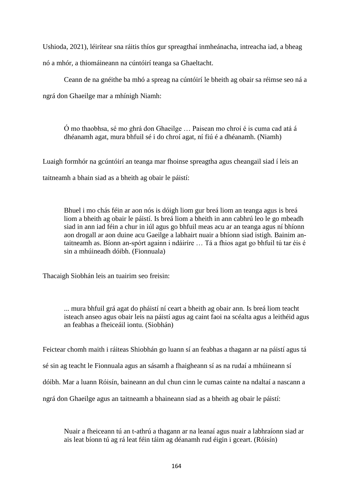Ushioda, 2021), léirítear sna ráitis thíos gur spreagthaí inmheánacha, intreacha iad, a bheag nó a mhór, a thiomáineann na cúntóirí teanga sa Ghaeltacht.

Ceann de na gnéithe ba mhó a spreag na cúntóirí le bheith ag obair sa réimse seo ná a ngrá don Ghaeilge mar a mhínigh Niamh:

Ó mo thaobhsa, sé mo ghrá don Ghaeilge … Paisean mo chroí é is cuma cad atá á dhéanamh agat, mura bhfuil sé i do chroí agat, ní fiú é a dhéanamh. (Niamh)

Luaigh formhór na gcúntóirí an teanga mar fhoinse spreagtha agus cheangail siad í leis an taitneamh a bhain siad as a bheith ag obair le páistí:

Bhuel i mo chás féin ar aon nós is dóigh liom gur breá liom an teanga agus is breá liom a bheith ag obair le páistí. Is breá liom a bheith in ann cabhrú leo le go mbeadh siad in ann iad féin a chur in iúl agus go bhfuil meas acu ar an teanga agus ní bhíonn aon drogall ar aon duine acu Gaeilge a labhairt nuair a bhíonn siad istigh. Bainim antaitneamh as. Bíonn an-spórt againn i ndáiríre … Tá a fhios agat go bhfuil tú tar éis é sin a mhúineadh dóibh. (Fionnuala)

Thacaigh Siobhán leis an tuairim seo freisin:

... mura bhfuil grá agat do pháistí ní ceart a bheith ag obair ann. Is breá liom teacht isteach anseo agus obair leis na páistí agus ag caint faoi na scéalta agus a leithéid agus an feabhas a fheiceáil iontu. (Siobhán)

Feictear chomh maith i ráiteas Shiobhán go luann sí an feabhas a thagann ar na páistí agus tá sé sin ag teacht le Fionnuala agus an sásamh a fhaigheann sí as na rudaí a mhúineann sí dóibh. Mar a luann Róisín, baineann an dul chun cinn le cumas cainte na ndaltaí a nascann a ngrá don Ghaeilge agus an taitneamh a bhaineann siad as a bheith ag obair le páistí:

Nuair a fheiceann tú an t-athrú a thagann ar na leanaí agus nuair a labhraíonn siad ar ais leat bíonn tú ag rá leat féin táim ag déanamh rud éigin i gceart. (Róisín)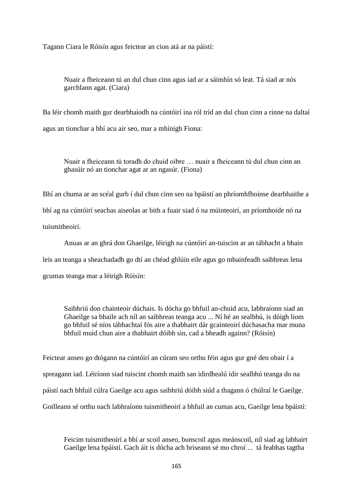Tagann Ciara le Róisín agus feictear an cion atá ar na páistí:

Nuair a fheiceann tú an dul chun cinn agus iad ar a sáimhín só leat. Tá siad ar nós garchlann agat. (Ciara)

Ba léir chomh maith gur dearbhaíodh na cúntóirí ina ról tríd an dul chun cinn a rinne na daltaí agus an tionchar a bhí acu air seo, mar a mhínigh Fiona:

Nuair a fheiceann tú toradh do chuid oibre … nuair a fheiceann tú dul chun cinn an ghasúir nó an tionchar agat ar an ngasúr. (Fiona)

Bhí an chuma ar an scéal gurb í dul chun cinn seo na bpáistí an phríomhfhoinse dearbhaithe a bhí ag na cúntóirí seachas aiseolas ar bith a fuair siad ó na múinteoirí, an príomhoide nó na tuismitheoirí.

Anuas ar an ghrá don Ghaeilge, léirigh na cúntóirí an-tuiscint ar an tábhacht a bhain leis an teanga a sheachadadh go dtí an chéad ghlúin eile agus go mbainfeadh saibhreas lena gcumas teanga mar a léirigh Róisín:

Saibhriú don chainteoir dúchais. Is dócha go bhfuil an-chuid acu, labhraíonn siad an Ghaeilge sa bhaile ach níl an saibhreas teanga acu ... Ní hé an sealbhú, is dóigh liom go bhfuil sé níos tábhachtaí fós aire a thabhairt dár gcainteoirí dúchasacha mar muna bhfuil muid chun aire a thabhairt dóibh sin, cad a bheadh againn? (Róisín)

Feictear anseo go dtógann na cúntóirí an cúram seo orthu féin agus gur gné den obair í a spreagann iad. Léiríonn siad tuiscint chomh maith san idirdhealú idir sealbhú teanga do na páistí nach bhfuil cúlra Gaeilge acu agus saibhriú dóibh siúd a thagann ó chúlraí le Gaeilge. Goilleann sé orthu nach labhraíonn tuismitheoirí a bhfuil an cumas acu, Gaeilge lena bpáistí:

Feicim tuismitheoirí a bhí ar scoil anseo, bunscoil agus meánscoil, níl siad ag labhairt Gaeilge lena bpáistí. Gach áit is dócha ach briseann sé mo chroí ... tá feabhas tagtha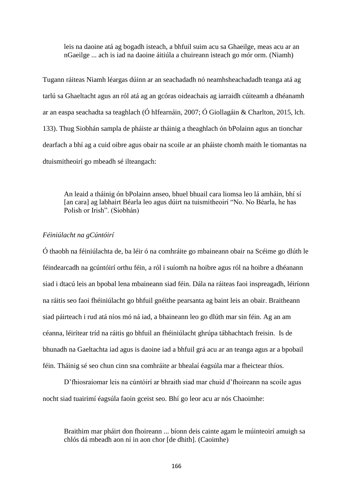leis na daoine atá ag bogadh isteach, a bhfuil suim acu sa Ghaeilge, meas acu ar an nGaeilge ... ach is iad na daoine áitiúla a chuireann isteach go mór orm. (Niamh)

Tugann ráiteas Niamh léargas dúinn ar an seachadadh nó neamhsheachadadh teanga atá ag tarlú sa Ghaeltacht agus an ról atá ag an gcóras oideachais ag iarraidh cúiteamh a dhéanamh ar an easpa seachadta sa teaghlach (Ó hIfearnáin, 2007; Ó Giollagáin & Charlton, 2015, lch. 133). Thug Siobhán sampla de pháiste ar tháinig a theaghlach ón bPolainn agus an tionchar dearfach a bhí ag a cuid oibre agus obair na scoile ar an pháiste chomh maith le tiomantas na dtuismitheoirí go mbeadh sé ilteangach:

An leaid a tháinig ón bPolainn anseo, bhuel bhuail cara liomsa leo lá amháin, bhí sí [an cara] ag labhairt Béarla leo agus dúirt na tuismitheoirí "No. No Béarla, he has Polish or Irish". (Siobhán)

### *Féiniúlacht na gCúntóirí*

Ó thaobh na féiniúlachta de, ba léir ó na comhráite go mbaineann obair na Scéime go dlúth le féindearcadh na gcúntóirí orthu féin, a ról i suíomh na hoibre agus ról na hoibre a dhéanann siad i dtacú leis an bpobal lena mbaineann siad féin. Dála na ráiteas faoi inspreagadh, léiríonn na ráitis seo faoi fhéiniúlacht go bhfuil gnéithe pearsanta ag baint leis an obair. Braitheann siad páirteach i rud atá níos mó ná iad, a bhaineann leo go dlúth mar sin féin. Ag an am céanna, léirítear tríd na ráitis go bhfuil an fhéiniúlacht ghrúpa tábhachtach freisin. Is de bhunadh na Gaeltachta iad agus is daoine iad a bhfuil grá acu ar an teanga agus ar a bpobail féin. Tháinig sé seo chun cinn sna comhráite ar bhealaí éagsúla mar a fheictear thíos.

D'fhiosraíomar leis na cúntóirí ar bhraith siad mar chuid d'fhoireann na scoile agus nocht siad tuairimí éagsúla faoin gceist seo. Bhí go leor acu ar nós Chaoimhe:

Braithim mar pháirt don fhoireann ... bíonn deis cainte agam le múinteoirí amuigh sa chlós dá mbeadh aon ní in aon chor [de dhith]. (Caoimhe)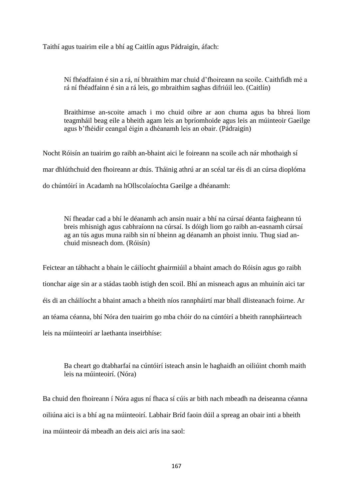Taithí agus tuairim eile a bhí ag Caitlín agus Pádraigín, áfach:

Ní fhéadfainn é sin a rá, ní bhraithim mar chuid d'fhoireann na scoile. Caithfidh mé a rá ní fhéadfainn é sin a rá leis, go mbraithim saghas difriúil leo. (Caitlín)

Braithimse an-scoite amach i mo chuid oibre ar aon chuma agus ba bhreá liom teagmháil beag eile a bheith agam leis an bpríomhoide agus leis an múinteoir Gaeilge agus b'fhéidir ceangal éigin a dhéanamh leis an obair. (Pádraigín)

Nocht Róisín an tuairim go raibh an-bhaint aici le foireann na scoile ach nár mhothaigh sí mar dhlúthchuid den fhoireann ar dtús. Tháinig athrú ar an scéal tar éis di an cúrsa dioplóma do chúntóirí in Acadamh na hOllscolaíochta Gaeilge a dhéanamh:

Ní fheadar cad a bhí le déanamh ach ansin nuair a bhí na cúrsaí déanta faigheann tú breis mhisnigh agus cabhraíonn na cúrsaí. Is dóigh liom go raibh an-easnamh cúrsaí ag an tús agus muna raibh sin ní bheinn ag déanamh an phoist inniu. Thug siad anchuid misneach dom. (Róisín)

Feictear an tábhacht a bhain le cáilíocht ghairmiúil a bhaint amach do Róisín agus go raibh tionchar aige sin ar a stádas taobh istigh den scoil. Bhí an misneach agus an mhuinín aici tar éis di an cháilíocht a bhaint amach a bheith níos rannpháirtí mar bhall dlisteanach foirne. Ar an téama céanna, bhí Nóra den tuairim go mba chóir do na cúntóirí a bheith rannpháirteach leis na múinteoirí ar laethanta inseirbhíse:

Ba cheart go dtabharfaí na cúntóirí isteach ansin le haghaidh an oiliúint chomh maith leis na múinteoirí. (Nóra)

Ba chuid den fhoireann í Nóra agus ní fhaca sí cúis ar bith nach mbeadh na deiseanna céanna oiliúna aici is a bhí ag na múinteoirí. Labhair Bríd faoin dúil a spreag an obair inti a bheith ina múinteoir dá mbeadh an deis aici arís ina saol: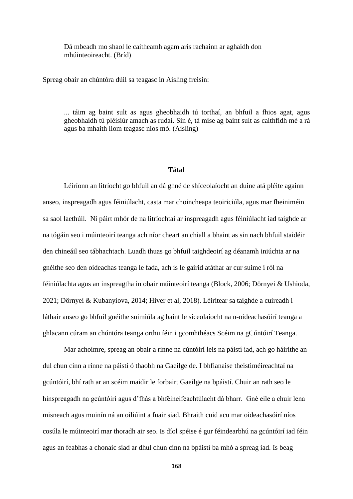Dá mbeadh mo shaol le caitheamh agam arís rachainn ar aghaidh don mhúinteoireacht. (Bríd)

Spreag obair an chúntóra dúil sa teagasc in Aisling freisin:

... táim ag baint sult as agus gheobhaidh tú torthaí, an bhfuil a fhios agat, agus gheobhaidh tú pléisiúr amach as rudaí. Sin é, tá mise ag baint sult as caithfidh mé a rá agus ba mhaith liom teagasc níos mó. (Aisling)

#### **Tátal**

Léiríonn an litríocht go bhfuil an dá ghné de shíceolaíocht an duine atá pléite againn anseo, inspreagadh agus féiniúlacht, casta mar choincheapa teoiriciúla, agus mar fheiniméin sa saol laethúil. Ní páirt mhór de na litríochtaí ar inspreagadh agus féiniúlacht iad taighde ar na tógáin seo i múinteoirí teanga ach níor cheart an chiall a bhaint as sin nach bhfuil staidéir den chineáil seo tábhachtach. Luadh thuas go bhfuil taighdeoirí ag déanamh iniúchta ar na gnéithe seo den oideachas teanga le fada, ach is le gairid atáthar ar cur suime i ról na féiniúlachta agus an inspreagtha in obair múinteoirí teanga (Block, 2006; Dörnyei & Ushioda, 2021; Dörnyei & Kubanyiova, 2014; Hiver et al, 2018). Léirítear sa taighde a cuireadh i láthair anseo go bhfuil gnéithe suimiúla ag baint le síceolaíocht na n-oideachasóirí teanga a ghlacann cúram an chúntóra teanga orthu féin i gcomhthéacs Scéim na gCúntóirí Teanga.

Mar achoimre, spreag an obair a rinne na cúntóirí leis na páistí iad, ach go háirithe an dul chun cinn a rinne na páistí ó thaobh na Gaeilge de. I bhfianaise theistiméireachtaí na gcúntóirí, bhí rath ar an scéim maidir le forbairt Gaeilge na bpáistí. Chuir an rath seo le hinspreagadh na gcúntóirí agus d'fhás a bhféineifeachtúlacht dá bharr. Gné eile a chuir lena misneach agus muinín ná an oiliúint a fuair siad. Bhraith cuid acu mar oideachasóirí níos cosúla le múinteoirí mar thoradh air seo. Is díol spéise é gur féindearbhú na gcúntóirí iad féin agus an feabhas a chonaic siad ar dhul chun cinn na bpáistí ba mhó a spreag iad. Is beag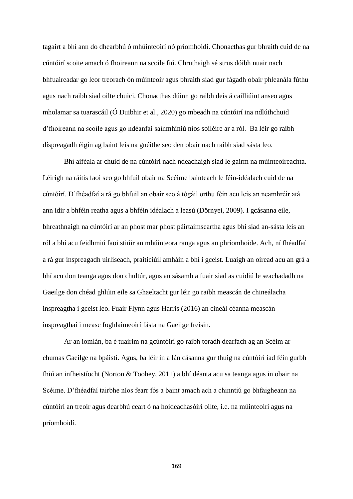tagairt a bhí ann do dhearbhú ó mhúinteoirí nó príomhoidí. Chonacthas gur bhraith cuid de na cúntóirí scoite amach ó fhoireann na scoile fiú. Chruthaigh sé strus dóibh nuair nach bhfuaireadar go leor treorach ón múinteoir agus bhraith siad gur fágadh obair phleanála fúthu agus nach raibh siad oilte chuici. Chonacthas dúinn go raibh deis á cailliúint anseo agus mholamar sa tuarascáil (Ó Duibhir et al., 2020) go mbeadh na cúntóirí ina ndlúthchuid d'fhoireann na scoile agus go ndéanfaí sainmhíniú níos soiléire ar a ról. Ba léir go raibh díspreagadh éigin ag baint leis na gnéithe seo den obair nach raibh siad sásta leo.

Bhí aiféala ar chuid de na cúntóirí nach ndeachaigh siad le gairm na múinteoireachta. Léirigh na ráitis faoi seo go bhfuil obair na Scéime bainteach le féin-idéalach cuid de na cúntóirí. D'fhéadfaí a rá go bhfuil an obair seo á tógáil orthu féin acu leis an neamhréir atá ann idir a bhféin reatha agus a bhféin idéalach a leasú (Dörnyei, 2009). I gcásanna eile, bhreathnaigh na cúntóirí ar an phost mar phost páirtaimseartha agus bhí siad an-sásta leis an ról a bhí acu feidhmiú faoi stiúir an mhúinteora ranga agus an phríomhoide. Ach, ní fhéadfaí a rá gur inspreagadh uirliseach, praiticiúil amháin a bhí i gceist. Luaigh an oiread acu an grá a bhí acu don teanga agus don chultúr, agus an sásamh a fuair siad as cuidiú le seachadadh na Gaeilge don chéad ghlúin eile sa Ghaeltacht gur léir go raibh meascán de chineálacha inspreagtha i gceist leo. Fuair Flynn agus Harris (2016) an cineál céanna meascán inspreagthaí i measc foghlaimeoirí fásta na Gaeilge freisin.

Ar an iomlán, ba é tuairim na gcúntóirí go raibh toradh dearfach ag an Scéim ar chumas Gaeilge na bpáistí. Agus, ba léir in a lán cásanna gur thuig na cúntóirí iad féin gurbh fhiú an infheistíocht (Norton & Toohey, 2011) a bhí déanta acu sa teanga agus in obair na Scéime. D'fhéadfaí tairbhe níos fearr fós a baint amach ach a chinntiú go bhfaigheann na cúntóirí an treoir agus dearbhú ceart ó na hoideachasóirí oilte, i.e. na múinteoirí agus na príomhoidí.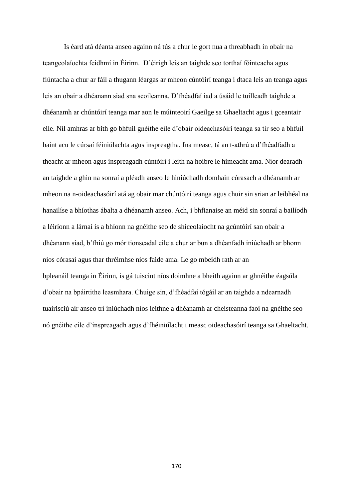Is éard atá déanta anseo againn ná tús a chur le gort nua a threabhadh in obair na teangeolaíochta feidhmí in Éirinn. D'éirigh leis an taighde seo torthaí fóinteacha agus fiúntacha a chur ar fáil a thugann léargas ar mheon cúntóirí teanga i dtaca leis an teanga agus leis an obair a dhéanann siad sna scoileanna. D'fhéadfaí iad a úsáid le tuilleadh taighde a dhéanamh ar chúntóirí teanga mar aon le múinteoirí Gaeilge sa Ghaeltacht agus i gceantair eile. Níl amhras ar bith go bhfuil gnéithe eile d'obair oideachasóirí teanga sa tír seo a bhfuil baint acu le cúrsaí féiniúlachta agus inspreagtha. Ina measc, tá an t-athrú a d'fhéadfadh a theacht ar mheon agus inspreagadh cúntóirí i leith na hoibre le himeacht ama. Níor dearadh an taighde a ghin na sonraí a pléadh anseo le hiniúchadh domhain córasach a dhéanamh ar mheon na n-oideachasóirí atá ag obair mar chúntóirí teanga agus chuir sin srian ar leibhéal na hanailíse a bhíothas ábalta a dhéanamh anseo. Ach, i bhfianaise an méid sin sonraí a bailíodh a léiríonn a lárnaí is a bhíonn na gnéithe seo de shíceolaíocht na gcúntóirí san obair a dhéanann siad, b'fhiú go mór tionscadal eile a chur ar bun a dhéanfadh iniúchadh ar bhonn níos córasaí agus thar thréimhse níos faide ama. Le go mbeidh rath ar an bpleanáil teanga in Éirinn, is gá tuiscint níos doimhne a bheith againn ar ghnéithe éagsúla d'obair na bpáirtithe leasmhara. Chuige sin, d'fhéadfaí tógáil ar an taighde a ndearnadh tuairisciú air anseo trí iniúchadh níos leithne a dhéanamh ar cheisteanna faoi na gnéithe seo nó gnéithe eile d'inspreagadh agus d'fhéiniúlacht i measc oideachasóirí teanga sa Ghaeltacht.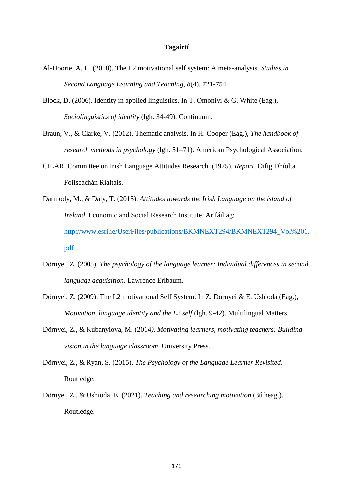#### **Tagairtí**

- Al-Hoorie, A. H. (2018). The L2 motivational self system: A meta-analysis. *Studies in Second Language Learning and Teaching, 8*(4), 721-754.
- Block, D. (2006). Identity in applied linguistics. In T. Omoniyi & G. White (Eag.), *Sociolinguistics of identity* (lgh. 34-49). Continuum.
- Braun, V., & Clarke, V. (2012). Thematic analysis. In H. Cooper (Eag.), *The handbook of research methods in psychology* (lgh. 51–71). American Psychological Association.
- CILAR. Committee on Irish Language Attitudes Research. (1975). *Report*. Oifig Dhíolta Foilseachán Rialtais.
- Darmody, M., & Daly, T. (2015). *Attitudes towards the Irish Language on the island of Ireland*. Economic and Social Research Institute. Ar fáil ag: [http://www.esri.ie/UserFiles/publications/BKMNEXT294/BKMNEXT294\\_Vol%201.](http://www.esri.ie/UserFiles/publications/BKMNEXT294/BKMNEXT294_Vol%201.pdf) [pdf](http://www.esri.ie/UserFiles/publications/BKMNEXT294/BKMNEXT294_Vol%201.pdf)
- Dörnyei, Z. (2005). *The psychology of the language learner: Individual differences in second language acquisition*. Lawrence Erlbaum.
- Dörnyei, Z. (2009). The L2 motivational Self System. In Z. Dörnyei & E. Ushioda (Eag.), *Motivation, language identity and the L2 self* (lgh. 9-42). Multilingual Matters.
- Dörnyei, Z., & Kubanyiova, M. (2014*). Motivating learners, motivating teachers: Building vision in the language classroom*. University Press.
- Dörnyei, Z., & Ryan, S. (2015). *The Psychology of the Language Learner Revisited*. Routledge.
- Dörnyei, Z., & Ushioda, E. (2021). *Teaching and researching motivation* (3ú heag.). Routledge.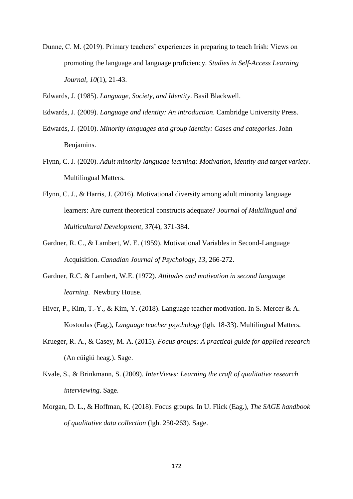Dunne, C. M. (2019). Primary teachers' experiences in preparing to teach Irish: Views on promoting the language and language proficiency. *Studies in Self-Access Learning Journal, 10*(1), 21-43.

Edwards, J. (1985). *Language, Society, and Identity*. Basil Blackwell.

- Edwards, J. (2009). *Language and identity: An introduction*. Cambridge University Press.
- Edwards, J. (2010). *Minority languages and group identity: Cases and categories*. John Benjamins.
- Flynn, C. J. (2020). *Adult minority language learning: Motivation, identity and target variety*. Multilingual Matters.
- Flynn, C. J., & Harris, J. (2016). Motivational diversity among adult minority language learners: Are current theoretical constructs adequate? *Journal of Multilingual and Multicultural Development, 37*(4), 371-384.
- Gardner, R. C., & Lambert, W. E. (1959). Motivational Variables in Second-Language Acquisition. *Canadian Journal of Psychology*, *13*, 266-272.
- Gardner, R.C. & Lambert, W.E. (1972). *Attitudes and motivation in second language learning*. Newbury House.
- Hiver, P., Kim, T.-Y., & Kim, Y. (2018). Language teacher motivation. In S. Mercer & A. Kostoulas (Eag.), *Language teacher psychology* (lgh. 18-33). Multilingual Matters.
- Krueger, R. A., & Casey, M. A. (2015). *Focus groups: A practical guide for applied research* (An cúigiú heag.). Sage.
- Kvale, S., & Brinkmann, S. (2009). *InterViews: Learning the craft of qualitative research interviewing*. Sage.
- Morgan, D. L., & Hoffman, K. (2018). Focus groups. In U. Flick (Eag.), *The SAGE handbook of qualitative data collection* (lgh. 250-263). Sage.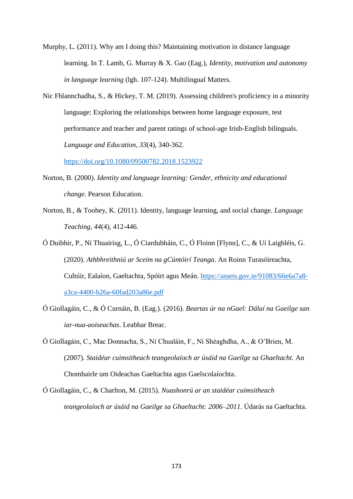- Murphy, L. (2011). Why am I doing this? Maintaining motivation in distance language learning. In T. Lamb, G. Murray & X. Gao (Eag.), *Identity, motivation and autonomy in language learning* (lgh. 107-124). Multilingual Matters.
- Nic Fhlannchadha, S., & Hickey, T. M. (2019). Assessing children's proficiency in a minority language: Exploring the relationships between home language exposure, test performance and teacher and parent ratings of school-age Irish-English bilinguals. *Language and Education, 33*(4), 340-362.

<https://doi.org/10.1080/09500782.2018.1523922>

- Norton, B. (2000). *Identity and language learning: Gender, ethnicity and educational change*. Pearson Education.
- Norton, B., & Toohey, K. (2011). Identity, language learning, and social change. *Language Teaching*, *44*(4), 412-446.
- Ó Duibhir, P., Ní Thuairisg, L., Ó Ciardubháin, C., Ó Floinn [Flynn], C., & Uí Laighléis, G. (2020). *Athbhreithniú ar Sceim na gCúntóirí Teanga*. An Roinn Turasóireachta, Cultúir, Ealaíon, Gaeltachta, Spóirt agus Meán. [https://assets.gov.ie/91083/66e6a7a8](https://assets.gov.ie/91083/66e6a7a8-a3ca-4400-b26a-60fad203a86e.pdf) [a3ca-4400-b26a-60fad203a86e.pdf](https://assets.gov.ie/91083/66e6a7a8-a3ca-4400-b26a-60fad203a86e.pdf)
- Ó Giollagáin, C., & Ó Curnáin, B. (Eag.). (2016). *Beartas úr na nGael: Dálaí na Gaeilge san iar-nua-aoiseachas*. Leabhar Breac.
- Ó Giollagáin, C., Mac Donnacha, S., Ní Chualáin, F., Ní Shéaghdha, A., & O'Brien, M. (2007). *Staidéar cuimsitheach teangeolaíoch ar úsáid na Gaeilge sa Ghaeltacht.* An Chomhairle um Oideachas Gaeltachta agus Gaelscolaíochta.
- Ó Giollagáin, C., & Charlton, M. (2015). *Nuashonrú ar an staidéar cuimsitheach teangeolaíoch ar úsáid na Gaeilge sa Ghaeltacht: 2006–2011*. Údarás na Gaeltachta.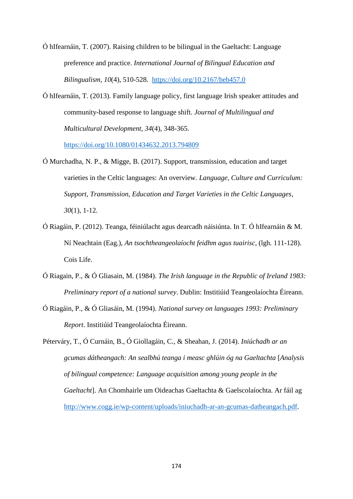Ó hIfearnáin, T. (2007). Raising children to be bilingual in the Gaeltacht: Language preference and practice. *International Journal of Bilingual Education and Bilingualism, 10*(4), 510-528. <https://doi.org/10.2167/beb457.0>

Ó hIfearnáin, T. (2013). Family language policy, first language Irish speaker attitudes and community-based response to language shift. *Journal of Multilingual and Multicultural Development, 34*(4), 348-365.

<https://doi.org/10.1080/01434632.2013.794809>

- Ó Murchadha, N. P., & Migge, B. (2017). Support, transmission, education and target varieties in the Celtic languages: An overview. *Language, Culture and Curriculum: Support, Transmission, Education and Target Varieties in the Celtic Languages*, *30*(1), 1-12.
- Ó Riagáin, P. (2012). Teanga, féiniúlacht agus dearcadh náisiúnta. In T. Ó hIfearnáin & M. Ní Neachtain (Eag.), *An tsochtheangeolaíocht feidhm agus tuairisc*, (lgh. 111-128). Cois Life.
- Ó Riagain, P., & Ó Gliasain, M. (1984). *The Irish language in the Republic of Ireland 1983: Preliminary report of a national survey*. Dublin: Institiúid Teangeolaíochta Éireann.
- Ó Riagáin, P., & Ó Gliasáin, M. (1994). *National survey on languages 1993: Preliminary Report*. Institiúid Teangeolaíochta Éireann.

Péterváry, T., Ó Curnáin, B., Ó Giollagáin, C., & Sheahan, J. (2014). *Iniúchadh ar an gcumas dátheangach: An sealbhú teanga i measc ghlúin óg na Gaeltachta* [*Analysis of bilingual competence: Language acquisition among young people in the Gaeltacht*]. An Chomhairle um Oideachas Gaeltachta & Gaelscolaíochta. Ar fáil ag [http://www.cogg.ie/wp-content/uploads/iniuchadh-ar-an-gcumas-datheangach.pdf.](http://www.cogg.ie/wp-content/uploads/iniuchadh-ar-an-gcumas-datheangach.pdf)